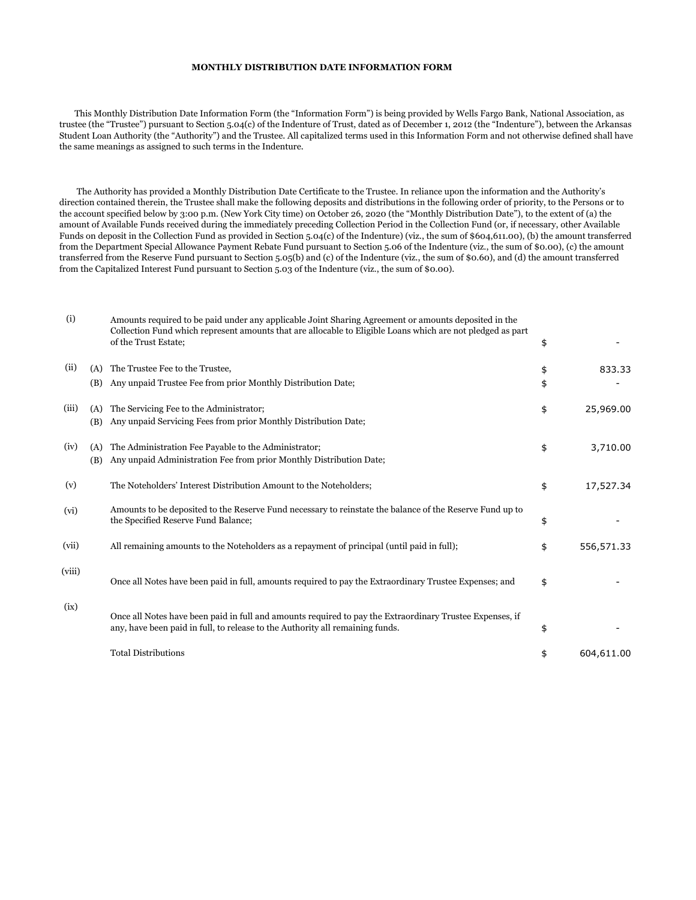## **MONTHLY DISTRIBUTION DATE INFORMATION FORM**

 This Monthly Distribution Date Information Form (the "Information Form") is being provided by Wells Fargo Bank, National Association, as trustee (the "Trustee") pursuant to Section 5.04(c) of the Indenture of Trust, dated as of December 1, 2012 (the "Indenture"), between the Arkansas Student Loan Authority (the "Authority") and the Trustee. All capitalized terms used in this Information Form and not otherwise defined shall have the same meanings as assigned to such terms in the Indenture.

 The Authority has provided a Monthly Distribution Date Certificate to the Trustee. In reliance upon the information and the Authority's direction contained therein, the Trustee shall make the following deposits and distributions in the following order of priority, to the Persons or to the account specified below by 3:00 p.m. (New York City time) on October 26, 2020 (the "Monthly Distribution Date"), to the extent of (a) the amount of Available Funds received during the immediately preceding Collection Period in the Collection Fund (or, if necessary, other Available Funds on deposit in the Collection Fund as provided in Section 5.04(c) of the Indenture) (viz., the sum of \$604,611.00), (b) the amount transferred from the Department Special Allowance Payment Rebate Fund pursuant to Section 5.06 of the Indenture (viz., the sum of \$0.00), (c) the amount transferred from the Reserve Fund pursuant to Section 5.05(b) and (c) of the Indenture (viz., the sum of \$0.60), and (d) the amount transferred from the Capitalized Interest Fund pursuant to Section 5.03 of the Indenture (viz., the sum of \$0.00).

| (i)    |            | Amounts required to be paid under any applicable Joint Sharing Agreement or amounts deposited in the<br>Collection Fund which represent amounts that are allocable to Eligible Loans which are not pledged as part<br>of the Trust Estate; | \$       |            |
|--------|------------|--------------------------------------------------------------------------------------------------------------------------------------------------------------------------------------------------------------------------------------------|----------|------------|
| (ii)   | (A)<br>(B) | The Trustee Fee to the Trustee,<br>Any unpaid Trustee Fee from prior Monthly Distribution Date;                                                                                                                                            | \$<br>\$ | 833.33     |
| (iii)  | (A)<br>(B) | The Servicing Fee to the Administrator;<br>Any unpaid Servicing Fees from prior Monthly Distribution Date;                                                                                                                                 | \$       | 25,969.00  |
| (iv)   | (A)<br>(B) | The Administration Fee Payable to the Administrator;<br>Any unpaid Administration Fee from prior Monthly Distribution Date;                                                                                                                | \$       | 3,710.00   |
| (v)    |            | The Noteholders' Interest Distribution Amount to the Noteholders;                                                                                                                                                                          | \$       | 17,527.34  |
| (vi)   |            | Amounts to be deposited to the Reserve Fund necessary to reinstate the balance of the Reserve Fund up to<br>the Specified Reserve Fund Balance;                                                                                            | \$       |            |
| (vii)  |            | All remaining amounts to the Noteholders as a repayment of principal (until paid in full);                                                                                                                                                 | \$       | 556,571.33 |
| (viii) |            | Once all Notes have been paid in full, amounts required to pay the Extraordinary Trustee Expenses; and                                                                                                                                     | \$       |            |
| (ix)   |            | Once all Notes have been paid in full and amounts required to pay the Extraordinary Trustee Expenses, if<br>any, have been paid in full, to release to the Authority all remaining funds.                                                  | \$       |            |
|        |            | <b>Total Distributions</b>                                                                                                                                                                                                                 | \$       | 604,611.00 |